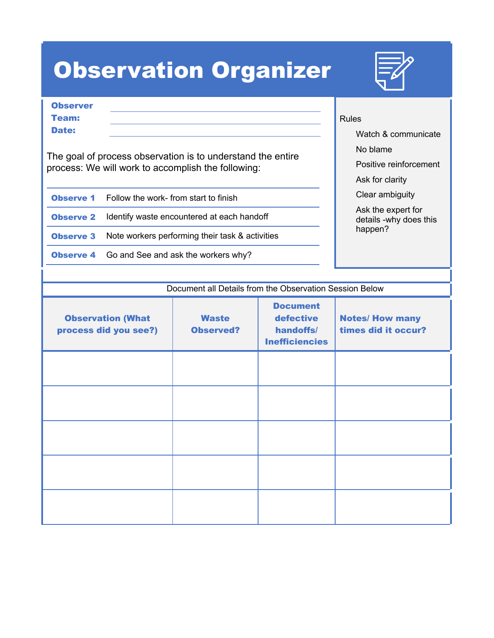## Observation Organizer



| <b>Observer</b> |  |  |
|-----------------|--|--|
| <b>Team:</b>    |  |  |
| <b>Date:</b>    |  |  |
|                 |  |  |

The goal of process observation is to understand the entire process: We will work to accomplish the following:

| <b>Observe 1</b> | Follow the work- from start to finish |
|------------------|---------------------------------------|
|------------------|---------------------------------------|

**Observe 2** Identify waste encountered at each handoff

**Observe 3** Note workers performing their task & activities

**Observe 4** Go and See and ask the workers why?

## Rules

Watch & communicate

No blame

Positive reinforcement

Ask for clarity

Clear ambiguity

 Ask the expert for details -why does this happen?

| <b>Observation (What</b><br>process did you see?) | <b>Waste</b><br><b>Observed?</b> | <b>Document</b><br>defective<br>handoffs/<br><b>Inefficiencies</b> | <b>Notes/ How many</b><br>times did it occur? |
|---------------------------------------------------|----------------------------------|--------------------------------------------------------------------|-----------------------------------------------|
|                                                   |                                  |                                                                    |                                               |
|                                                   |                                  |                                                                    |                                               |
|                                                   |                                  |                                                                    |                                               |
|                                                   |                                  |                                                                    |                                               |
|                                                   |                                  |                                                                    |                                               |

Document all Details from the Observation Session Below